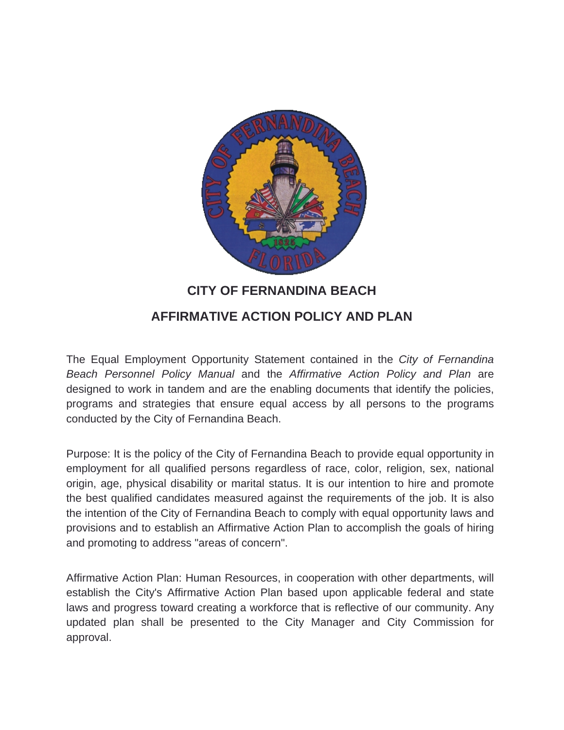

# **CITY OF FERNANDINA BEACH**

# **AFFIRMATIVE ACTION POLICY AND PLAN**

The Equal Employment Opportunity Statement contained in the *City of Fernandina Beach Personnel Policy Manual* and the *Affirmative Action Policy and Plan* are designed to work in tandem and are the enabling documents that identify the policies, programs and strategies that ensure equal access by all persons to the programs conducted by the City of Fernandina Beach.

Purpose: It is the policy of the City of Fernandina Beach to provide equal opportunity in employment for all qualified persons regardless of race, color, religion, sex, national origin, age, physical disability or marital status. It is our intention to hire and promote the best qualified candidates measured against the requirements of the job. It is also the intention of the City of Fernandina Beach to comply with equal opportunity laws and provisions and to establish an Affirmative Action Plan to accomplish the goals of hiring and promoting to address "areas of concern".

Affirmative Action Plan: Human Resources, in cooperation with other departments, will establish the City's Affirmative Action Plan based upon applicable federal and state laws and progress toward creating a workforce that is reflective of our community. Any updated plan shall be presented to the City Manager and City Commission for approval.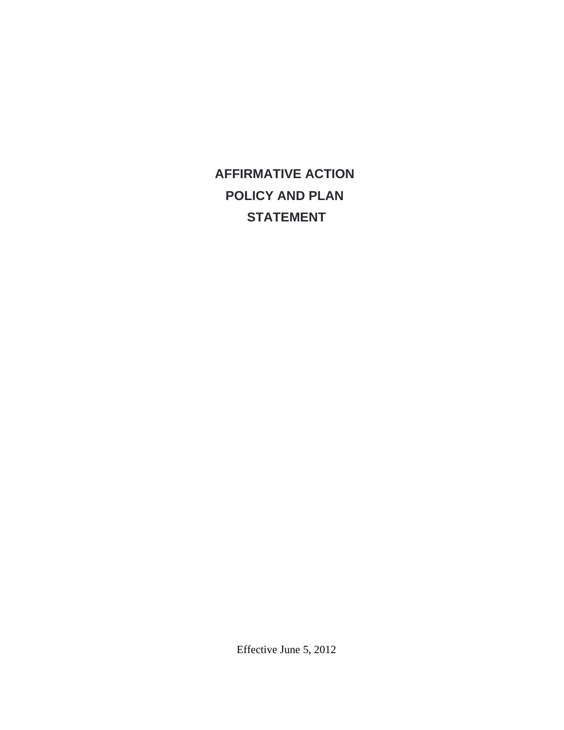# **AFFIRMATIVE ACTION POLICY AND PLAN STATEMENT**

Effective June 5, 2012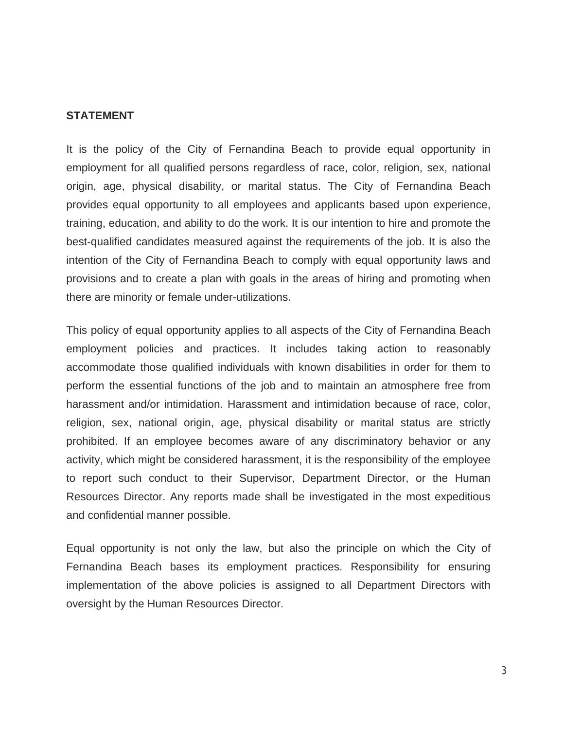#### **STATEMENT**

It is the policy of the City of Fernandina Beach to provide equal opportunity in employment for all qualified persons regardless of race, color, religion, sex, national origin, age, physical disability, or marital status. The City of Fernandina Beach provides equal opportunity to all employees and applicants based upon experience, training, education, and ability to do the work. It is our intention to hire and promote the best-qualified candidates measured against the requirements of the job. It is also the intention of the City of Fernandina Beach to comply with equal opportunity laws and provisions and to create a plan with goals in the areas of hiring and promoting when there are minority or female under-utilizations.

This policy of equal opportunity applies to all aspects of the City of Fernandina Beach employment policies and practices. It includes taking action to reasonably accommodate those qualified individuals with known disabilities in order for them to perform the essential functions of the job and to maintain an atmosphere free from harassment and/or intimidation. Harassment and intimidation because of race, color, religion, sex, national origin, age, physical disability or marital status are strictly prohibited. If an employee becomes aware of any discriminatory behavior or any activity, which might be considered harassment, it is the responsibility of the employee to report such conduct to their Supervisor, Department Director, or the Human Resources Director. Any reports made shall be investigated in the most expeditious and confidential manner possible.

Equal opportunity is not only the law, but also the principle on which the City of Fernandina Beach bases its employment practices. Responsibility for ensuring implementation of the above policies is assigned to all Department Directors with oversight by the Human Resources Director.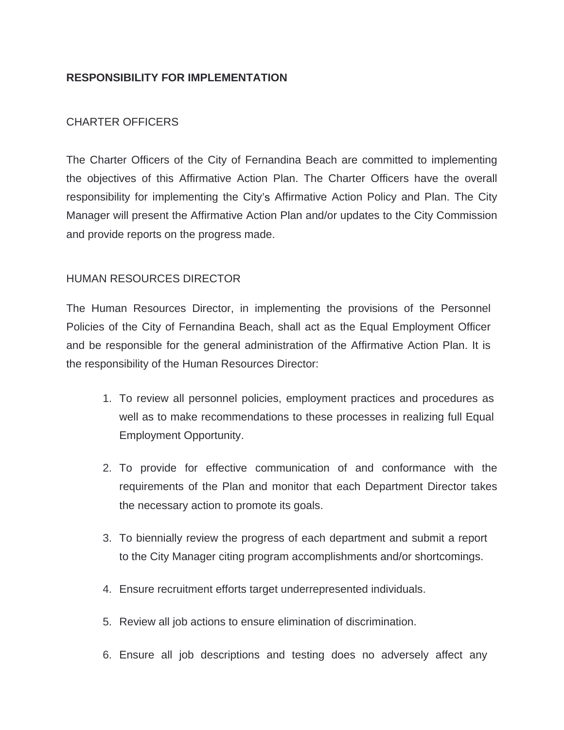# **RESPONSIBILITY FOR IMPLEMENTATION**

# CHARTER OFFICERS

The Charter Officers of the City of Fernandina Beach are committed to implementing the objectives of this Affirmative Action Plan. The Charter Officers have the overall responsibility for implementing the City's Affirmative Action Policy and Plan. The City Manager will present the Affirmative Action Plan and/or updates to the City Commission and provide reports on the progress made.

# HUMAN RESOURCES DIRECTOR

The Human Resources Director, in implementing the provisions of the Personnel Policies of the City of Fernandina Beach, shall act as the Equal Employment Officer and be responsible for the general administration of the Affirmative Action Plan. It is the responsibility of the Human Resources Director:

- 1. To review all personnel policies, employment practices and procedures as well as to make recommendations to these processes in realizing full Equal Employment Opportunity.
- 2. To provide for effective communication of and conformance with the requirements of the Plan and monitor that each Department Director takes the necessary action to promote its goals.
- 3. To biennially review the progress of each department and submit a report to the City Manager citing program accomplishments and/or shortcomings.
- 4. Ensure recruitment efforts target underrepresented individuals.
- 5. Review all job actions to ensure elimination of discrimination.
- 6. Ensure all job descriptions and testing does no adversely affect any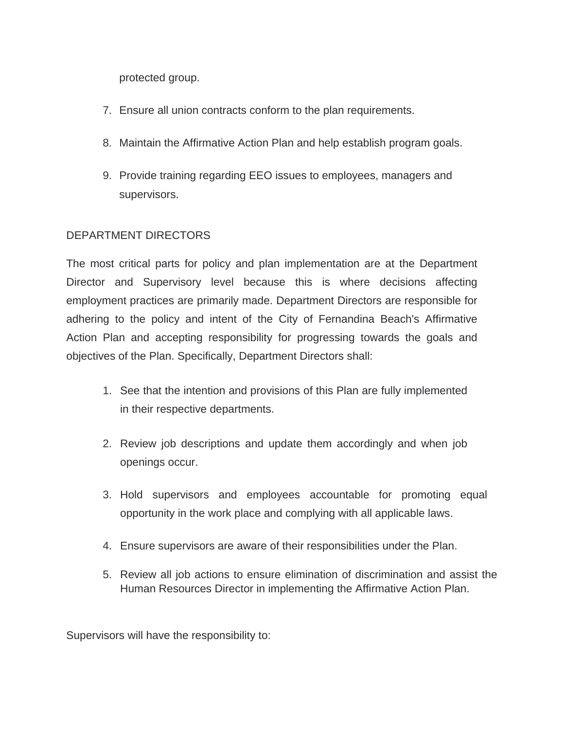protected group.

- 7. Ensure all union contracts conform to the plan requirements.
- 8. Maintain the Affirmative Action Plan and help establish program goals.
- 9. Provide training regarding EEO issues to employees, managers and supervisors.

# DEPARTMENT DIRECTORS

The most critical parts for policy and plan implementation are at the Department Director and Supervisory level because this is where decisions affecting employment practices are primarily made. Department Directors are responsible for adhering to the policy and intent of the City of Fernandina Beach's Affirmative Action Plan and accepting responsibility for progressing towards the goals and objectives of the Plan. Specifically, Department Directors shall:

- 1. See that the intention and provisions of this Plan are fully implemented in their respective departments.
- 2. Review job descriptions and update them accordingly and when job openings occur.
- 3. Hold supervisors and employees accountable for promoting equal opportunity in the work place and complying with all applicable laws.
- 4. Ensure supervisors are aware of their responsibilities under the Plan.
- 5. Review all job actions to ensure elimination of discrimination and assist the Human Resources Director in implementing the Affirmative Action Plan.

Supervisors will have the responsibility to: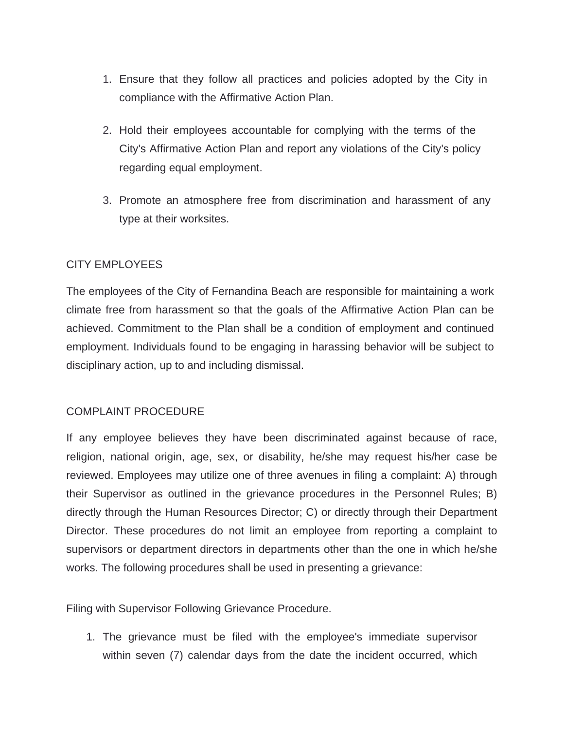- 1. Ensure that they follow all practices and policies adopted by the City in compliance with the Affirmative Action Plan.
- 2. Hold their employees accountable for complying with the terms of the City's Affirmative Action Plan and report any violations of the City's policy regarding equal employment.
- 3. Promote an atmosphere free from discrimination and harassment of any type at their worksites.

# CITY EMPLOYEES

The employees of the City of Fernandina Beach are responsible for maintaining a work climate free from harassment so that the goals of the Affirmative Action Plan can be achieved. Commitment to the Plan shall be a condition of employment and continued employment. Individuals found to be engaging in harassing behavior will be subject to disciplinary action, up to and including dismissal.

#### COMPLAINT PROCEDURE

If any employee believes they have been discriminated against because of race, religion, national origin, age, sex, or disability, he/she may request his/her case be reviewed. Employees may utilize one of three avenues in filing a complaint: A) through their Supervisor as outlined in the grievance procedures in the Personnel Rules; B) directly through the Human Resources Director; C) or directly through their Department Director. These procedures do not limit an employee from reporting a complaint to supervisors or department directors in departments other than the one in which he/she works. The following procedures shall be used in presenting a grievance:

Filing with Supervisor Following Grievance Procedure.

1. The grievance must be filed with the employee's immediate supervisor within seven (7) calendar days from the date the incident occurred, which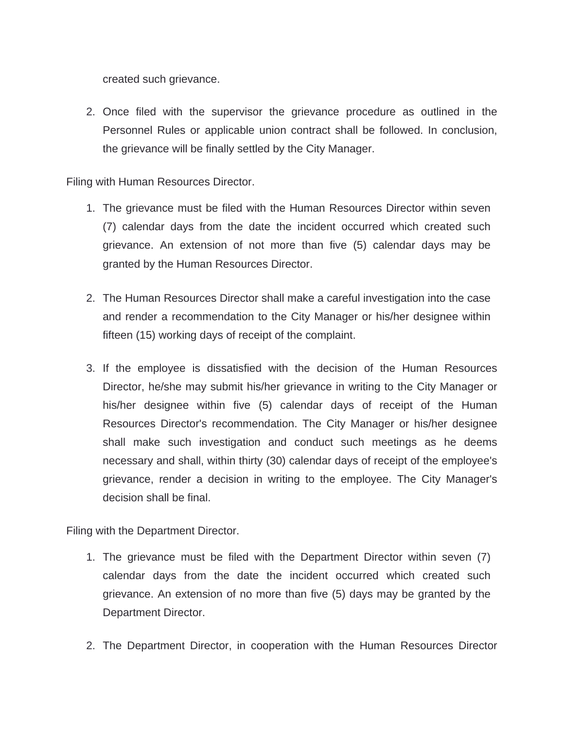created such grievance.

2. Once filed with the supervisor the grievance procedure as outlined in the Personnel Rules or applicable union contract shall be followed. In conclusion, the grievance will be finally settled by the City Manager.

#### Filing with Human Resources Director.

- 1. The grievance must be filed with the Human Resources Director within seven (7) calendar days from the date the incident occurred which created such grievance. An extension of not more than five (5) calendar days may be granted by the Human Resources Director.
- 2. The Human Resources Director shall make a careful investigation into the case and render a recommendation to the City Manager or his/her designee within fifteen (15) working days of receipt of the complaint.
- 3. If the employee is dissatisfied with the decision of the Human Resources Director, he/she may submit his/her grievance in writing to the City Manager or his/her designee within five (5) calendar days of receipt of the Human Resources Director's recommendation. The City Manager or his/her designee shall make such investigation and conduct such meetings as he deems necessary and shall, within thirty (30) calendar days of receipt of the employee's grievance, render a decision in writing to the employee. The City Manager's decision shall be final.

Filing with the Department Director.

- 1. The grievance must be filed with the Department Director within seven (7) calendar days from the date the incident occurred which created such grievance. An extension of no more than five (5) days may be granted by the Department Director.
- 2. The Department Director, in cooperation with the Human Resources Director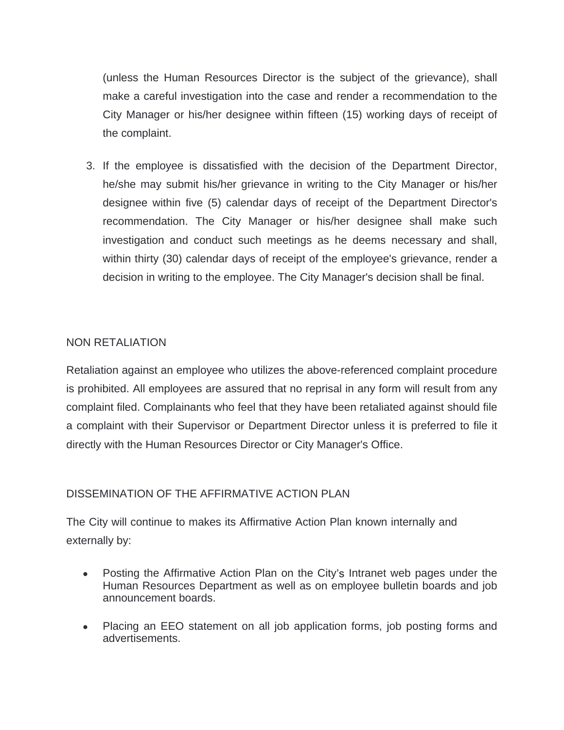(unless the Human Resources Director is the subject of the grievance), shall make a careful investigation into the case and render a recommendation to the City Manager or his/her designee within fifteen (15) working days of receipt of the complaint.

3. If the employee is dissatisfied with the decision of the Department Director, he/she may submit his/her grievance in writing to the City Manager or his/her designee within five (5) calendar days of receipt of the Department Director's recommendation. The City Manager or his/her designee shall make such investigation and conduct such meetings as he deems necessary and shall, within thirty (30) calendar days of receipt of the employee's grievance, render a decision in writing to the employee. The City Manager's decision shall be final.

# NON RETALIATION

Retaliation against an employee who utilizes the above-referenced complaint procedure is prohibited. All employees are assured that no reprisal in any form will result from any complaint filed. Complainants who feel that they have been retaliated against should file a complaint with their Supervisor or Department Director unless it is preferred to file it directly with the Human Resources Director or City Manager's Office.

# DISSEMINATION OF THE AFFIRMATIVE ACTION PLAN

The City will continue to makes its Affirmative Action Plan known internally and externally by:

- · Posting the Affirmative Action Plan on the City's Intranet web pages under the Human Resources Department as well as on employee bulletin boards and job announcement boards.
- · Placing an EEO statement on all job application forms, job posting forms and advertisements.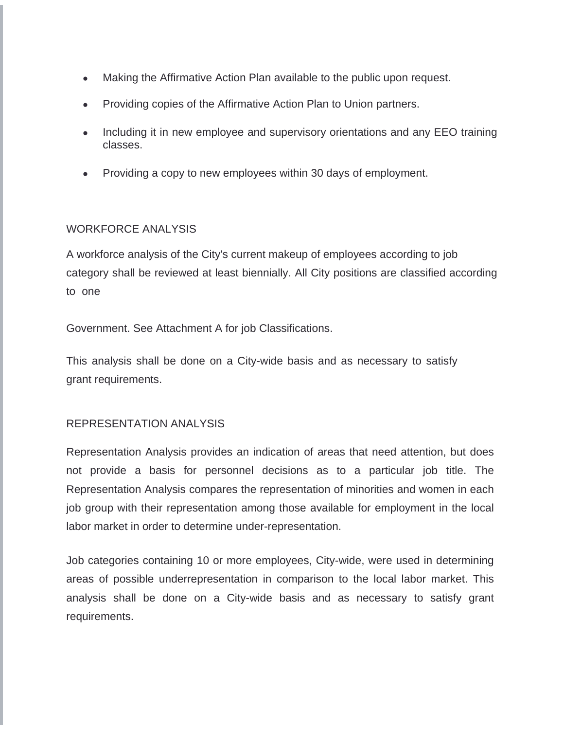- · Making the Affirmative Action Plan available to the public upon request.
- · Providing copies of the Affirmative Action Plan to Union partners.
- · Including it in new employee and supervisory orientations and any EEO training classes.
- · Providing a copy to new employees within 30 days of employment.

#### WORKFORCE ANALYSIS

A workforce analysis of the City's current makeup of employees according to job category shall be reviewed at least biennially. All City positions are classified according to one of eight categories as listed on the  $2000$ US Census for the  $2000$ US Census for the Jacksonville

Government. See Attachment A for job Classifications.

This analysis shall be done on a City-wide basis and as necessary to satisfy grant requirements.

#### REPRESENTATION ANALYSIS

Representation Analysis provides an indication of areas that need attention, but does not provide a basis for personnel decisions as to a particular job title. The Representation Analysis compares the representation of minorities and women in each job group with their representation among those available for employment in the local labor market in order to determine under-representation.

Job categories containing 10 or more employees, City-wide, were used in determining areas of possible underrepresentation in comparison to the local labor market. This analysis shall be done on a City-wide basis and as necessary to satisfy grant requirements.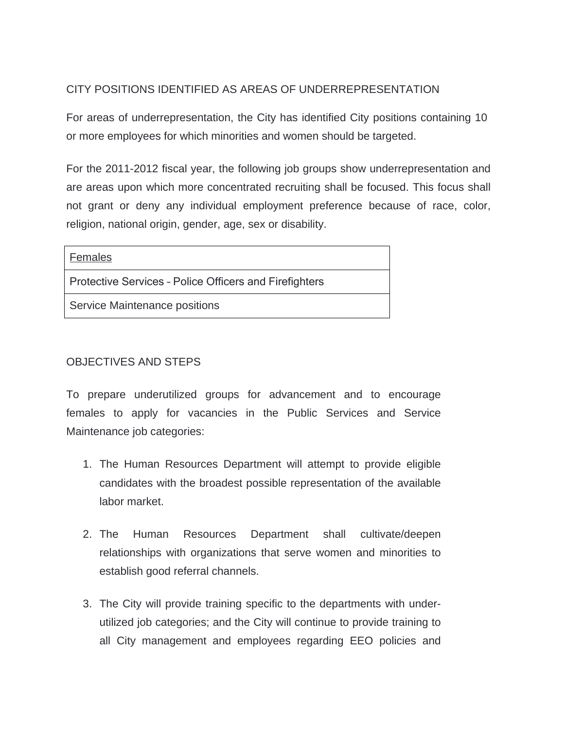# CITY POSITIONS IDENTIFIED AS AREAS OF UNDERREPRESENTATION

For areas of underrepresentation, the City has identified City positions containing 10 or more employees for which minorities and women should be targeted.

For the 2011-2012 fiscal year, the following job groups show underrepresentation and are areas upon which more concentrated recruiting shall be focused. This focus shall not grant or deny any individual employment preference because of race, color, religion, national origin, gender, age, sex or disability.

| <b>Females</b>                                         |
|--------------------------------------------------------|
| Protective Services - Police Officers and Firefighters |
| Service Maintenance positions                          |

# OBJECTIVES AND STEPS

To prepare underutilized groups for advancement and to encourage females to apply for vacancies in the Public Services and Service Maintenance job categories:

- 1. The Human Resources Department will attempt to provide eligible candidates with the broadest possible representation of the available labor market.
- 2. The Human Resources Department shall cultivate/deepen relationships with organizations that serve women and minorities to establish good referral channels.
- 3. The City will provide training specific to the departments with underutilized job categories; and the City will continue to provide training to all City management and employees regarding EEO policies and